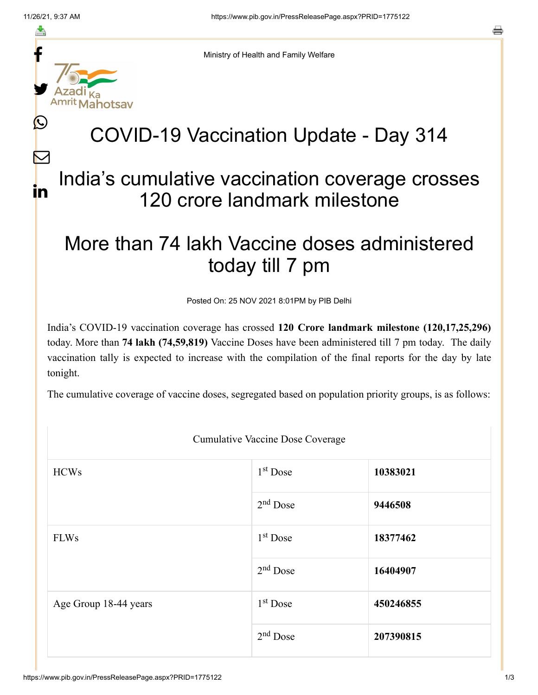≛

L

 $\bm{\nabla}$ 

in



Ministry of Health and Family Welfare

## COVID-19 Vaccination Update - Day 314

## India's cumulative vaccination coverage crosses 120 crore landmark milestone

## More than 74 lakh Vaccine doses administered today till 7 pm

Posted On: 25 NOV 2021 8:01PM by PIB Delhi

India's COVID-19 vaccination coverage has crossed **120 Crore landmark milestone (120,17,25,296)** today. More than **74 lakh (74,59,819)** Vaccine Doses have been administered till 7 pm today. The daily vaccination tally is expected to increase with the compilation of the final reports for the day by late tonight.

The cumulative coverage of vaccine doses, segregated based on population priority groups, is as follows:

| <b>Cumulative Vaccine Dose Coverage</b> |                      |           |  |  |
|-----------------------------------------|----------------------|-----------|--|--|
| <b>HCWs</b>                             | $1st$ Dose           | 10383021  |  |  |
|                                         | $2nd$ Dose           | 9446508   |  |  |
| <b>FLWs</b>                             | 1 <sup>st</sup> Dose | 18377462  |  |  |
|                                         | $2nd$ Dose           | 16404907  |  |  |
| Age Group 18-44 years                   | 1 <sup>st</sup> Dose | 450246855 |  |  |
|                                         | $2nd$ Dose           | 207390815 |  |  |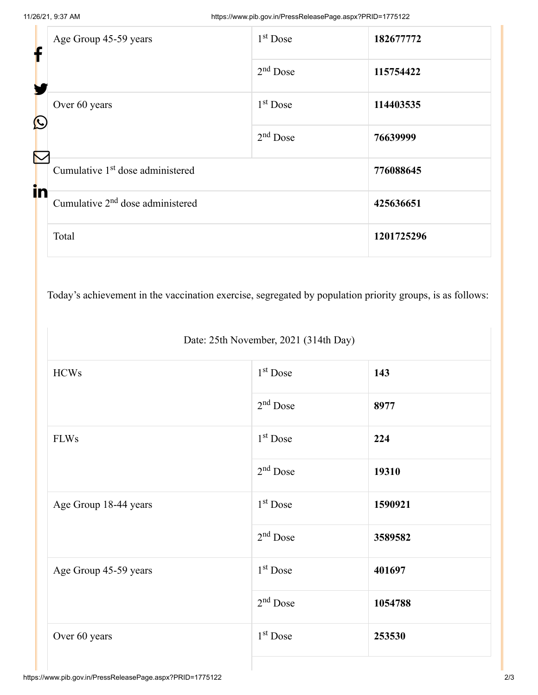| ┢          | Age Group 45-59 years                        | $1st$ Dose | 182677772  |
|------------|----------------------------------------------|------------|------------|
| Y          |                                              | $2nd$ Dose | 115754422  |
| $\bigcirc$ | Over 60 years                                | $1st$ Dose | 114403535  |
| $\nabla$   |                                              | $2nd$ Dose | 76639999   |
| in         | Cumulative 1 <sup>st</sup> dose administered |            | 776088645  |
|            | Cumulative $2nd$ dose administered           |            | 425636651  |
|            | Total                                        |            | 1201725296 |

Today's achievement in the vaccination exercise, segregated by population priority groups, is as follows:

Date: 25th November, 2021 (314th Day)

| 1 <sup>st</sup> Dose | 143     |
|----------------------|---------|
| $2nd$ Dose           | 8977    |
| 1 <sup>st</sup> Dose | 224     |
| $2nd$ Dose           | 19310   |
| 1 <sup>st</sup> Dose | 1590921 |
| $2nd$ Dose           | 3589582 |
| $1st$ Dose           | 401697  |
| $2nd$ Dose           | 1054788 |
| 1 <sup>st</sup> Dose | 253530  |
|                      |         |